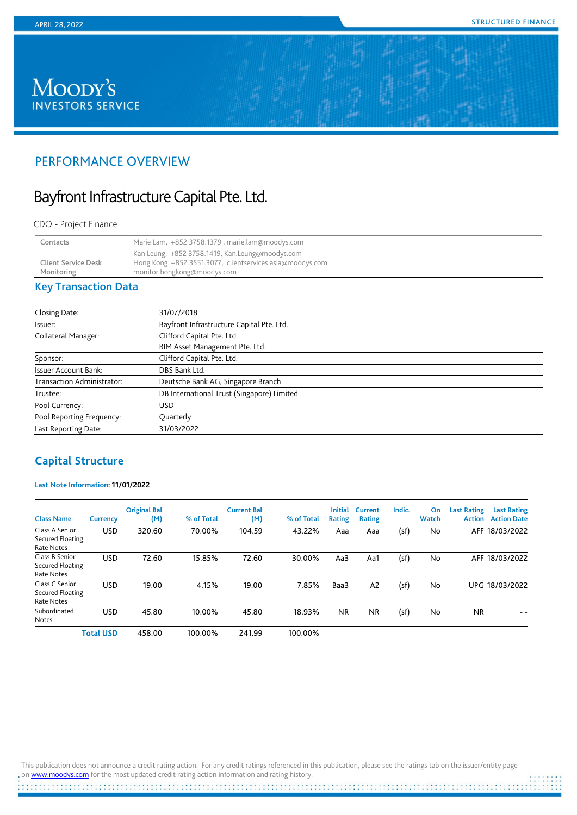# Moody's **INVESTORS SERVICE**

# PERFORMANCE OVERVIEW

# Bayfront Infrastructure Capital Pte. Ltd.

#### CDO - Project Finance

| Contacts                                 | Marie Lam, +852 3758.1379, marie.lam@moodys.com                                                                                             |
|------------------------------------------|---------------------------------------------------------------------------------------------------------------------------------------------|
| <b>Client Service Desk</b><br>Monitoring | Kan Leung, +852 3758.1419, Kan.Leung@moodys.com<br>Hong Kong: +852.3551.3077, clientservices.asia@moodys.com<br>monitor.hongkong@moodys.com |

# Key Transaction Data

| Closing Date:                     | 31/07/2018                                 |  |
|-----------------------------------|--------------------------------------------|--|
| lssuer:                           | Bayfront Infrastructure Capital Pte. Ltd.  |  |
| <b>Collateral Manager:</b>        | Clifford Capital Pte. Ltd.                 |  |
|                                   | BIM Asset Management Pte. Ltd.             |  |
| Sponsor:                          | Clifford Capital Pte. Ltd.                 |  |
| <b>Issuer Account Bank:</b>       | DBS Bank Ltd.                              |  |
| <b>Transaction Administrator:</b> | Deutsche Bank AG, Singapore Branch         |  |
| Trustee:                          | DB International Trust (Singapore) Limited |  |
| Pool Currency:                    | <b>USD</b>                                 |  |
| Pool Reporting Frequency:         | Quarterly                                  |  |
| Last Reporting Date:              | 31/03/2022                                 |  |
|                                   |                                            |  |

# **Capital Structure**

## **Last Note Information: 11/01/2022**

| <b>Class Name</b>                                | <b>Currency</b>  | <b>Original Bal</b><br>(M) | % of Total | <b>Current Bal</b><br>(M) | % of Total | <b>Initial</b><br>Rating | Current<br><b>Rating</b> | Indic. | On<br>Watch | <b>Last Rating</b><br><b>Action</b> | <b>Last Rating</b><br><b>Action Date</b> |
|--------------------------------------------------|------------------|----------------------------|------------|---------------------------|------------|--------------------------|--------------------------|--------|-------------|-------------------------------------|------------------------------------------|
| Class A Senior<br>Secured Floating<br>Rate Notes | <b>USD</b>       | 320.60                     | 70.00%     | 104.59                    | 43.22%     | Aaa                      | Aaa                      | (sf)   | No          | AFF                                 | 18/03/2022                               |
| Class B Senior<br>Secured Floating<br>Rate Notes | <b>USD</b>       | 72.60                      | 15.85%     | 72.60                     | 30.00%     | Aa3                      | Aa1                      | (sf)   | No          | <b>AFF</b>                          | 18/03/2022                               |
| Class C Senior<br>Secured Floating<br>Rate Notes | <b>USD</b>       | 19.00                      | 4.15%      | 19.00                     | 7.85%      | Baa3                     | A <sub>2</sub>           | (sf)   | No          |                                     | UPG 18/03/2022                           |
| Subordinated<br>Notes                            | <b>USD</b>       | 45.80                      | 10.00%     | 45.80                     | 18.93%     | <b>NR</b>                | <b>NR</b>                | (sf)   | No          | <b>NR</b>                           | - -                                      |
|                                                  | <b>Total USD</b> | 458.00                     | 100.00%    | 241.99                    | 100.00%    |                          |                          |        |             |                                     |                                          |

This publication does not announce a credit rating action. For any credit ratings referenced in this publication, please see the ratings tab on the issuer/entity page o[n www.moodys.com](http://www.moodys.com/) for the most updated credit rating action information and rating history.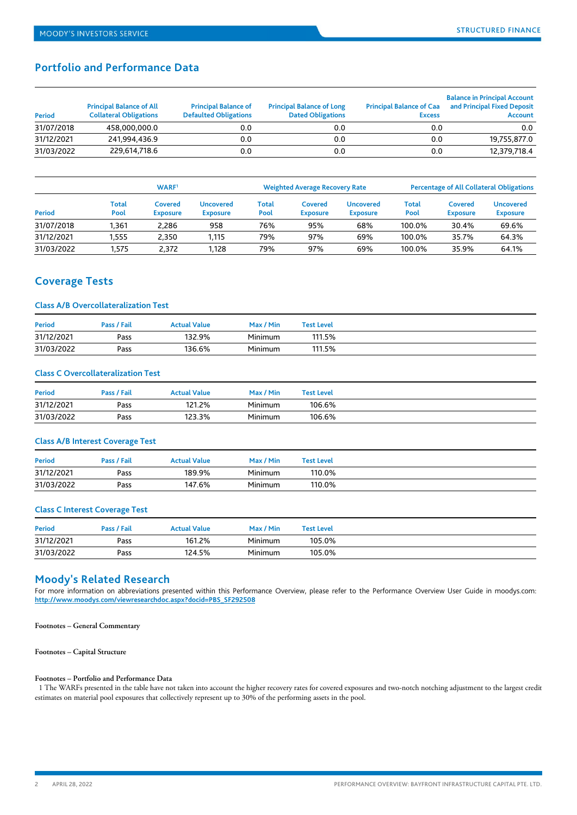# **Portfolio and Performance Data**

| Period     | <b>Principal Balance of All</b><br><b>Collateral Obligations</b> | <b>Principal Balance of</b><br><b>Defaulted Obligations</b> | <b>Principal Balance of Long</b><br><b>Dated Obligations</b> | <b>Principal Balance of Caa</b><br><b>Excess</b> | <b>Balance in Principal Account</b><br>and Principal Fixed Deposit<br><b>Account</b> |
|------------|------------------------------------------------------------------|-------------------------------------------------------------|--------------------------------------------------------------|--------------------------------------------------|--------------------------------------------------------------------------------------|
| 31/07/2018 | 458,000,000.0                                                    | 0.0                                                         | 0.0                                                          | 0.0                                              | 0.0                                                                                  |
| 31/12/2021 | 241.994.436.9                                                    | 0.0                                                         | 0.0                                                          | 0.0                                              | 19,755,877.0                                                                         |
| 31/03/2022 | 229,614,718.6                                                    | 0.0                                                         | 0.0                                                          | 0.0                                              | 12,379,718.4                                                                         |

|            |               | <b>WARF</b>                |                              |               | <b>Weighted Average Recovery Rate</b> |                              |                      |                            | <b>Percentage of All Collateral Obligations</b> |
|------------|---------------|----------------------------|------------------------------|---------------|---------------------------------------|------------------------------|----------------------|----------------------------|-------------------------------------------------|
| Period     | Total<br>Pool | Covered<br><b>Exposure</b> | Uncovered<br><b>Exposure</b> | Total<br>Pool | Covered<br><b>Exposure</b>            | Uncovered<br><b>Exposure</b> | <b>Total</b><br>Pool | Covered<br><b>Exposure</b> | Uncovered<br><b>Exposure</b>                    |
| 31/07/2018 | 1.361         | 2.286                      | 958                          | 76%           | 95%                                   | 68%                          | 100.0%               | 30.4%                      | 69.6%                                           |
| 31/12/2021 | .555          | 2.350                      | 1,115                        | 79%           | 97%                                   | 69%                          | 100.0%               | 35.7%                      | 64.3%                                           |
| 31/03/2022 | 1.575         | 2.372                      | 1.128                        | 79%           | 97%                                   | 69%                          | 100.0%               | 35.9%                      | 64.1%                                           |

## **Coverage Tests**

#### **Class A/B Overcollateralization Test**

| <b>Period</b> | Pass / Fail | Actual Value | Max / Min | <b>Test Level</b> |
|---------------|-------------|--------------|-----------|-------------------|
| 31/12/2021    | Pass        | 132.9%       | Minimum   | 111.5%            |
| 31/03/2022    | Pass        | 136.6%       | Minimum   | 111.5%            |

### **Class C Overcollateralization Test**

| <b>Period</b> | Pass / Fail | Actual Value | Max / Min | <b>Test Level</b> |
|---------------|-------------|--------------|-----------|-------------------|
| 31/12/2021    | Pass        | 121.2%       | Minimum   | 106.6%            |
| 31/03/2022    | Pass        | 123.3%       | Minimum   | 106.6%            |

### **Class A/B Interest Coverage Test**

| <b>Period</b> | Pass / Fail | <b>Actual Value</b> | Max / Min | Test Level |
|---------------|-------------|---------------------|-----------|------------|
| 31/12/2021    | Pass        | 189.9%              | Minimum   | 110.0%     |
| 31/03/2022    | Pass        | 147.6%              | Minimum   | 110.0%     |

#### **Class C Interest Coverage Test**

| <b>Period</b> | Pass / Fail | Actual Value | Max / Min | <b>Test Level</b> |
|---------------|-------------|--------------|-----------|-------------------|
| 31/12/2021    | Pass        | 161.2%       | Minimum   | 105.0%            |
| 31/03/2022    | Pass        | 124.5%       | Minimum   | 105.0%            |

## **Moody's Related Research**

For more information on abbreviations presented within this Performance Overview, please refer to the Performance Overview User Guide in moodys.com: **[http://www.moodys.com/viewresearchdoc.aspx?docid=PBS\\_SF292508](http://www.moodys.com/viewresearchdoc.aspx?docid=PBS_SF292508)**

**Footnotes – General Commentary** 

#### **Footnotes – Capital Structure**

#### **Footnotes – Portfolio and Performance Data**

 1 The WARFs presented in the table have not taken into account the higher recovery rates for covered exposures and two-notch notching adjustment to the largest credit estimates on material pool exposures that collectively represent up to 30% of the performing assets in the pool.